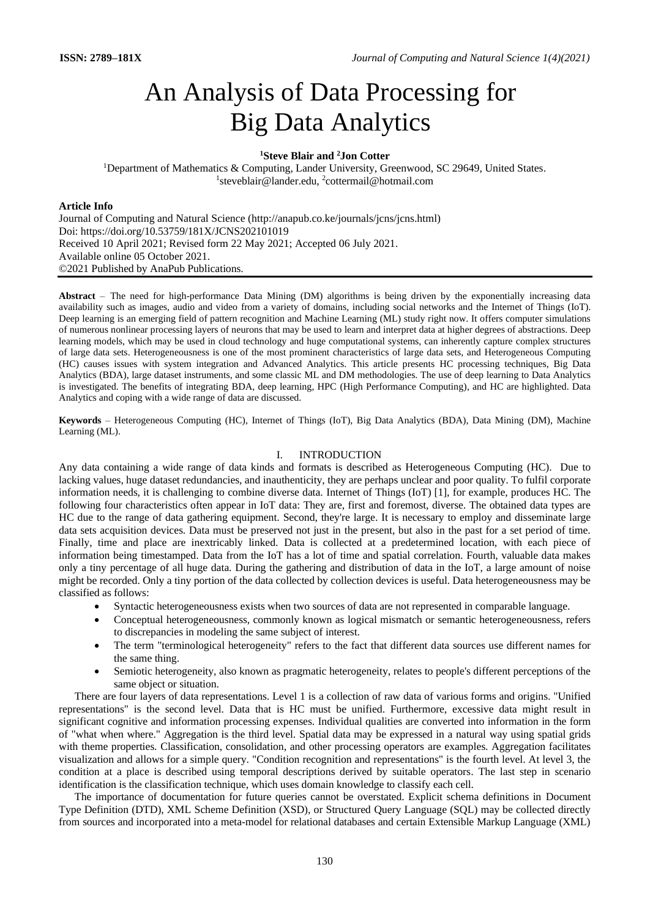# An Analysis of Data Processing for Big Data Analytics

# **<sup>1</sup>Steve Blair and <sup>2</sup>Jon Cotter**

<sup>1</sup>Department of [Mathematics & Computing,](https://www.lander.edu/academics/colleges-schools/college-science-mathematics/mathematics-computing) Lander University, Greenwood, SC 29649, United States. <sup>1</sup>steveblair@lander.edu, <sup>2</sup>cottermail@hotmail.com

### **Article Info**

Journal of Computing and Natural Science (http://anapub.co.ke/journals/jcns/jcns.html) Doi: https://doi.org/10.53759/181X/JCNS202101019 Received 10 April 2021; Revised form 22 May 2021; Accepted 06 July 2021. Available online 05 October 2021. ©2021 Published by AnaPub Publications.

Abstract – The need for high-performance Data Mining (DM) algorithms is being driven by the exponentially increasing data availability such as images, audio and video from a variety of domains, including social networks and the Internet of Things (IoT). Deep learning is an emerging field of pattern recognition and Machine Learning (ML) study right now. It offers computer simulations of numerous nonlinear processing layers of neurons that may be used to learn and interpret data at higher degrees of abstractions. Deep learning models, which may be used in cloud technology and huge computational systems, can inherently capture complex structures of large data sets. Heterogeneousness is one of the most prominent characteristics of large data sets, and Heterogeneous Computing (HC) causes issues with system integration and Advanced Analytics. This article presents HC processing techniques, Big Data Analytics (BDA), large dataset instruments, and some classic ML and DM methodologies. The use of deep learning to Data Analytics is investigated. The benefits of integrating BDA, deep learning, HPC (High Performance Computing), and HC are highlighted. Data Analytics and coping with a wide range of data are discussed.

**Keywords** – Heterogeneous Computing (HC), Internet of Things (IoT), Big Data Analytics (BDA), Data Mining (DM), Machine Learning (ML).

# I. INTRODUCTION

Any data containing a wide range of data kinds and formats is described as Heterogeneous Computing (HC). Due to lacking values, huge dataset redundancies, and inauthenticity, they are perhaps unclear and poor quality. To fulfil corporate information needs, it is challenging to combine diverse data. Internet of Things (IoT) [1], for example, produces HC. The following four characteristics often appear in IoT data: They are, first and foremost, diverse. The obtained data types are HC due to the range of data gathering equipment. Second, they're large. It is necessary to employ and disseminate large data sets acquisition devices. Data must be preserved not just in the present, but also in the past for a set period of time. Finally, time and place are inextricably linked. Data is collected at a predetermined location, with each piece of information being timestamped. Data from the IoT has a lot of time and spatial correlation. Fourth, valuable data makes only a tiny percentage of all huge data. During the gathering and distribution of data in the IoT, a large amount of noise might be recorded. Only a tiny portion of the data collected by collection devices is useful. Data heterogeneousness may be classified as follows:

- Syntactic heterogeneousness exists when two sources of data are not represented in comparable language.
- Conceptual heterogeneousness, commonly known as logical mismatch or semantic heterogeneousness, refers to discrepancies in modeling the same subject of interest.
- The term "terminological heterogeneity" refers to the fact that different data sources use different names for the same thing.
- Semiotic heterogeneity, also known as pragmatic heterogeneity, relates to people's different perceptions of the same object or situation.

There are four layers of data representations. Level 1 is a collection of raw data of various forms and origins. "Unified representations" is the second level. Data that is HC must be unified. Furthermore, excessive data might result in significant cognitive and information processing expenses. Individual qualities are converted into information in the form of "what when where." Aggregation is the third level. Spatial data may be expressed in a natural way using spatial grids with theme properties. Classification, consolidation, and other processing operators are examples. Aggregation facilitates visualization and allows for a simple query. "Condition recognition and representations" is the fourth level. At level 3, the condition at a place is described using temporal descriptions derived by suitable operators. The last step in scenario identification is the classification technique, which uses domain knowledge to classify each cell.

The importance of documentation for future queries cannot be overstated. Explicit schema definitions in Document Type Definition (DTD), XML Scheme Definition (XSD), or Structured Query Language (SQL) may be collected directly from sources and incorporated into a meta-model for relational databases and certain Extensible Markup Language (XML)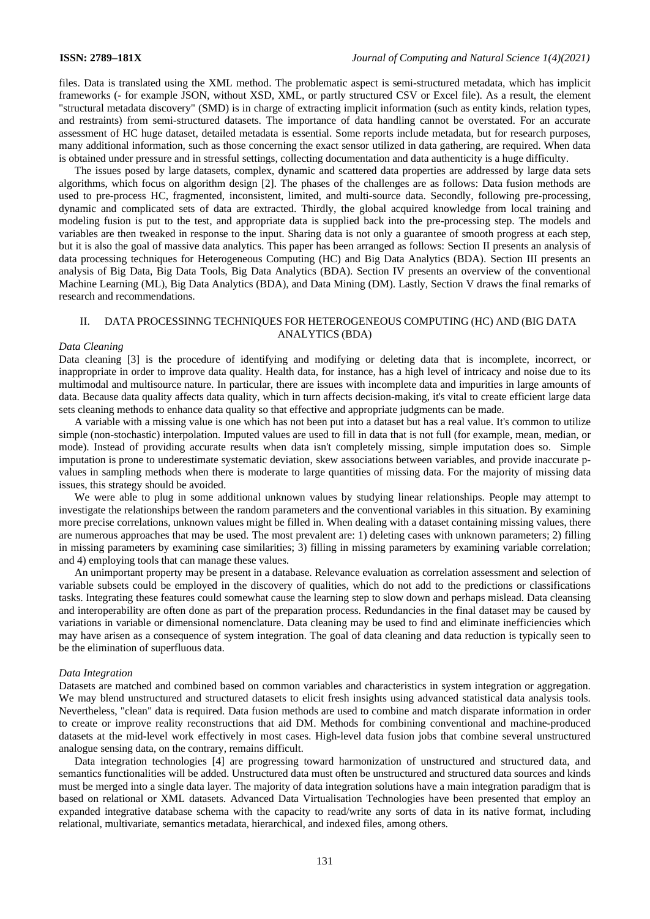files. Data is translated using the XML method. The problematic aspect is semi-structured metadata, which has implicit frameworks (- for example JSON, without XSD, XML, or partly structured CSV or Excel file). As a result, the element "structural metadata discovery" (SMD) is in charge of extracting implicit information (such as entity kinds, relation types, and restraints) from semi-structured datasets. The importance of data handling cannot be overstated. For an accurate assessment of HC huge dataset, detailed metadata is essential. Some reports include metadata, but for research purposes, many additional information, such as those concerning the exact sensor utilized in data gathering, are required. When data is obtained under pressure and in stressful settings, collecting documentation and data authenticity is a huge difficulty.

The issues posed by large datasets, complex, dynamic and scattered data properties are addressed by large data sets algorithms, which focus on algorithm design [2]. The phases of the challenges are as follows: Data fusion methods are used to pre-process HC, fragmented, inconsistent, limited, and multi-source data. Secondly, following pre-processing, dynamic and complicated sets of data are extracted. Thirdly, the global acquired knowledge from local training and modeling fusion is put to the test, and appropriate data is supplied back into the pre-processing step. The models and variables are then tweaked in response to the input. Sharing data is not only a guarantee of smooth progress at each step, but it is also the goal of massive data analytics. This paper has been arranged as follows: Section II presents an analysis of data processing techniques for Heterogeneous Computing (HC) and Big Data Analytics (BDA). Section III presents an analysis of Big Data, Big Data Tools, Big Data Analytics (BDA). Section IV presents an overview of the conventional Machine Learning (ML), Big Data Analytics (BDA), and Data Mining (DM). Lastly, Section V draws the final remarks of research and recommendations.

# II. DATA PROCESSINNG TECHNIQUES FOR HETEROGENEOUS COMPUTING (HC) AND (BIG DATA ANALYTICS (BDA)

# *Data Cleaning*

Data cleaning [3] is the procedure of identifying and modifying or deleting data that is incomplete, incorrect, or inappropriate in order to improve data quality. Health data, for instance, has a high level of intricacy and noise due to its multimodal and multisource nature. In particular, there are issues with incomplete data and impurities in large amounts of data. Because data quality affects data quality, which in turn affects decision-making, it's vital to create efficient large data sets cleaning methods to enhance data quality so that effective and appropriate judgments can be made.

A variable with a missing value is one which has not been put into a dataset but has a real value. It's common to utilize simple (non-stochastic) interpolation. Imputed values are used to fill in data that is not full (for example, mean, median, or mode). Instead of providing accurate results when data isn't completely missing, simple imputation does so. Simple imputation is prone to underestimate systematic deviation, skew associations between variables, and provide inaccurate pvalues in sampling methods when there is moderate to large quantities of missing data. For the majority of missing data issues, this strategy should be avoided.

We were able to plug in some additional unknown values by studying linear relationships. People may attempt to investigate the relationships between the random parameters and the conventional variables in this situation. By examining more precise correlations, unknown values might be filled in. When dealing with a dataset containing missing values, there are numerous approaches that may be used. The most prevalent are: 1) deleting cases with unknown parameters; 2) filling in missing parameters by examining case similarities; 3) filling in missing parameters by examining variable correlation; and 4) employing tools that can manage these values.

An unimportant property may be present in a database. Relevance evaluation as correlation assessment and selection of variable subsets could be employed in the discovery of qualities, which do not add to the predictions or classifications tasks. Integrating these features could somewhat cause the learning step to slow down and perhaps mislead. Data cleansing and interoperability are often done as part of the preparation process. Redundancies in the final dataset may be caused by variations in variable or dimensional nomenclature. Data cleaning may be used to find and eliminate inefficiencies which may have arisen as a consequence of system integration. The goal of data cleaning and data reduction is typically seen to be the elimination of superfluous data.

### *Data Integration*

Datasets are matched and combined based on common variables and characteristics in system integration or aggregation. We may blend unstructured and structured datasets to elicit fresh insights using advanced statistical data analysis tools. Nevertheless, "clean" data is required. Data fusion methods are used to combine and match disparate information in order to create or improve reality reconstructions that aid DM. Methods for combining conventional and machine-produced datasets at the mid-level work effectively in most cases. High-level data fusion jobs that combine several unstructured analogue sensing data, on the contrary, remains difficult.

Data integration technologies [4] are progressing toward harmonization of unstructured and structured data, and semantics functionalities will be added. Unstructured data must often be unstructured and structured data sources and kinds must be merged into a single data layer. The majority of data integration solutions have a main integration paradigm that is based on relational or XML datasets. Advanced Data Virtualisation Technologies have been presented that employ an expanded integrative database schema with the capacity to read/write any sorts of data in its native format, including relational, multivariate, semantics metadata, hierarchical, and indexed files, among others.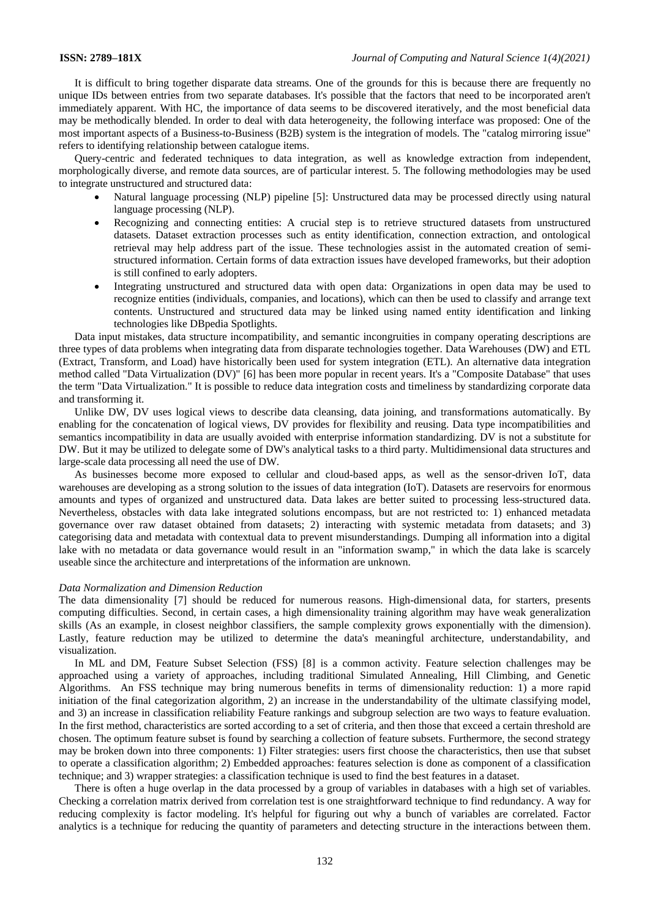It is difficult to bring together disparate data streams. One of the grounds for this is because there are frequently no unique IDs between entries from two separate databases. It's possible that the factors that need to be incorporated aren't immediately apparent. With HC, the importance of data seems to be discovered iteratively, and the most beneficial data may be methodically blended. In order to deal with data heterogeneity, the following interface was proposed: One of the most important aspects of a Business-to-Business (B2B) system is the integration of models. The "catalog mirroring issue" refers to identifying relationship between catalogue items.

Query-centric and federated techniques to data integration, as well as knowledge extraction from independent, morphologically diverse, and remote data sources, are of particular interest. 5. The following methodologies may be used to integrate unstructured and structured data:

- Natural language processing (NLP) pipeline [5]: Unstructured data may be processed directly using natural language processing (NLP).
- Recognizing and connecting entities: A crucial step is to retrieve structured datasets from unstructured datasets. Dataset extraction processes such as entity identification, connection extraction, and ontological retrieval may help address part of the issue. These technologies assist in the automated creation of semistructured information. Certain forms of data extraction issues have developed frameworks, but their adoption is still confined to early adopters.
- Integrating unstructured and structured data with open data: Organizations in open data may be used to recognize entities (individuals, companies, and locations), which can then be used to classify and arrange text contents. Unstructured and structured data may be linked using named entity identification and linking technologies like DBpedia Spotlights.

Data input mistakes, data structure incompatibility, and semantic incongruities in company operating descriptions are three types of data problems when integrating data from disparate technologies together. Data Warehouses (DW) and ETL (Extract, Transform, and Load) have historically been used for system integration (ETL). An alternative data integration method called "Data Virtualization (DV)" [6] has been more popular in recent years. It's a "Composite Database" that uses the term "Data Virtualization." It is possible to reduce data integration costs and timeliness by standardizing corporate data and transforming it.

Unlike DW, DV uses logical views to describe data cleansing, data joining, and transformations automatically. By enabling for the concatenation of logical views, DV provides for flexibility and reusing. Data type incompatibilities and semantics incompatibility in data are usually avoided with enterprise information standardizing. DV is not a substitute for DW. But it may be utilized to delegate some of DW's analytical tasks to a third party. Multidimensional data structures and large-scale data processing all need the use of DW.

As businesses become more exposed to cellular and cloud-based apps, as well as the sensor-driven IoT, data warehouses are developing as a strong solution to the issues of data integration (IoT). Datasets are reservoirs for enormous amounts and types of organized and unstructured data. Data lakes are better suited to processing less-structured data. Nevertheless, obstacles with data lake integrated solutions encompass, but are not restricted to: 1) enhanced metadata governance over raw dataset obtained from datasets; 2) interacting with systemic metadata from datasets; and 3) categorising data and metadata with contextual data to prevent misunderstandings. Dumping all information into a digital lake with no metadata or data governance would result in an "information swamp," in which the data lake is scarcely useable since the architecture and interpretations of the information are unknown.

### *Data Normalization and Dimension Reduction*

The data dimensionality [7] should be reduced for numerous reasons. High-dimensional data, for starters, presents computing difficulties. Second, in certain cases, a high dimensionality training algorithm may have weak generalization skills (As an example, in closest neighbor classifiers, the sample complexity grows exponentially with the dimension). Lastly, feature reduction may be utilized to determine the data's meaningful architecture, understandability, and visualization.

In ML and DM, Feature Subset Selection (FSS) [8] is a common activity. Feature selection challenges may be approached using a variety of approaches, including traditional Simulated Annealing, Hill Climbing, and Genetic Algorithms. An FSS technique may bring numerous benefits in terms of dimensionality reduction: 1) a more rapid initiation of the final categorization algorithm, 2) an increase in the understandability of the ultimate classifying model, and 3) an increase in classification reliability Feature rankings and subgroup selection are two ways to feature evaluation. In the first method, characteristics are sorted according to a set of criteria, and then those that exceed a certain threshold are chosen. The optimum feature subset is found by searching a collection of feature subsets. Furthermore, the second strategy may be broken down into three components: 1) Filter strategies: users first choose the characteristics, then use that subset to operate a classification algorithm; 2) Embedded approaches: features selection is done as component of a classification technique; and 3) wrapper strategies: a classification technique is used to find the best features in a dataset.

There is often a huge overlap in the data processed by a group of variables in databases with a high set of variables. Checking a correlation matrix derived from correlation test is one straightforward technique to find redundancy. A way for reducing complexity is factor modeling. It's helpful for figuring out why a bunch of variables are correlated. Factor analytics is a technique for reducing the quantity of parameters and detecting structure in the interactions between them.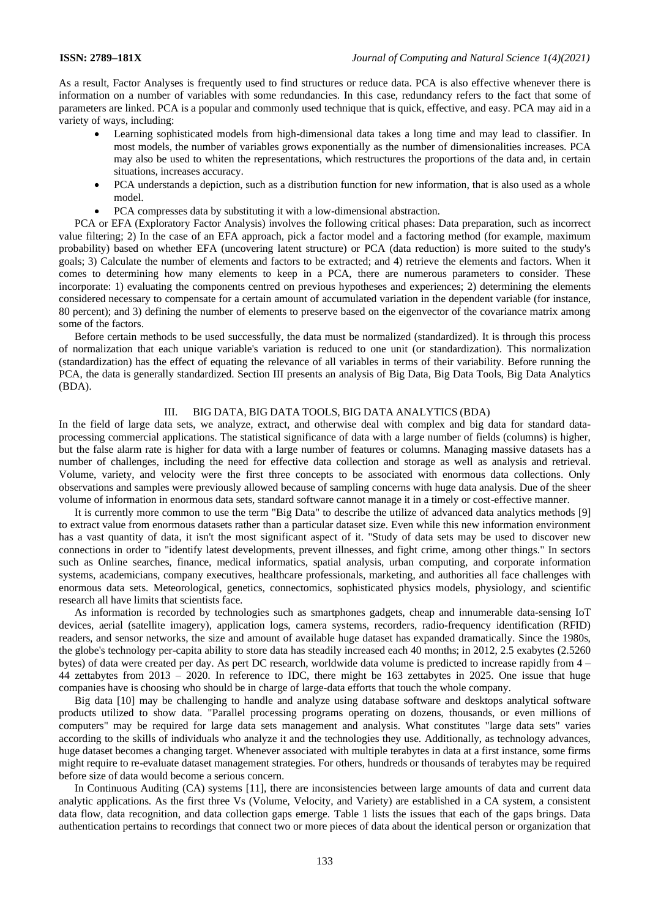As a result, Factor Analyses is frequently used to find structures or reduce data. PCA is also effective whenever there is information on a number of variables with some redundancies. In this case, redundancy refers to the fact that some of parameters are linked. PCA is a popular and commonly used technique that is quick, effective, and easy. PCA may aid in a variety of ways, including:

- Learning sophisticated models from high-dimensional data takes a long time and may lead to classifier. In most models, the number of variables grows exponentially as the number of dimensionalities increases. PCA may also be used to whiten the representations, which restructures the proportions of the data and, in certain situations, increases accuracy.
- PCA understands a depiction, such as a distribution function for new information, that is also used as a whole model.
- PCA compresses data by substituting it with a low-dimensional abstraction.

PCA or EFA (Exploratory Factor Analysis) involves the following critical phases: Data preparation, such as incorrect value filtering; 2) In the case of an EFA approach, pick a factor model and a factoring method (for example, maximum probability) based on whether EFA (uncovering latent structure) or PCA (data reduction) is more suited to the study's goals; 3) Calculate the number of elements and factors to be extracted; and 4) retrieve the elements and factors. When it comes to determining how many elements to keep in a PCA, there are numerous parameters to consider. These incorporate: 1) evaluating the components centred on previous hypotheses and experiences; 2) determining the elements considered necessary to compensate for a certain amount of accumulated variation in the dependent variable (for instance, 80 percent); and 3) defining the number of elements to preserve based on the eigenvector of the covariance matrix among some of the factors.

Before certain methods to be used successfully, the data must be normalized (standardized). It is through this process of normalization that each unique variable's variation is reduced to one unit (or standardization). This normalization (standardization) has the effect of equating the relevance of all variables in terms of their variability. Before running the PCA, the data is generally standardized. Section III presents an analysis of Big Data, Big Data Tools, Big Data Analytics (BDA).

# III. BIG DATA, BIG DATA TOOLS, BIG DATA ANALYTICS (BDA)

In the field of large data sets, we analyze, extract, and otherwise deal with complex and big data for standard dataprocessing commercial applications. The statistical significance of data with a large number of fields (columns) is higher, but the false alarm rate is higher for data with a large number of features or columns. Managing massive datasets has a number of challenges, including the need for effective data collection and storage as well as analysis and retrieval. Volume, variety, and velocity were the first three concepts to be associated with enormous data collections. Only observations and samples were previously allowed because of sampling concerns with huge data analysis. Due of the sheer volume of information in enormous data sets, standard software cannot manage it in a timely or cost-effective manner.

It is currently more common to use the term "Big Data" to describe the utilize of advanced data analytics methods [9] to extract value from enormous datasets rather than a particular dataset size. Even while this new information environment has a vast quantity of data, it isn't the most significant aspect of it. "Study of data sets may be used to discover new connections in order to "identify latest developments, prevent illnesses, and fight crime, among other things." In sectors such as Online searches, finance, medical informatics, spatial analysis, urban computing, and corporate information systems, academicians, company executives, healthcare professionals, marketing, and authorities all face challenges with enormous data sets. Meteorological, genetics, connectomics, sophisticated physics models, physiology, and scientific research all have limits that scientists face.

As information is recorded by technologies such as smartphones gadgets, cheap and innumerable data-sensing IoT devices, aerial (satellite imagery), application logs, camera systems, recorders, radio-frequency identification (RFID) readers, and sensor networks, the size and amount of available huge dataset has expanded dramatically. Since the 1980s, the globe's technology per-capita ability to store data has steadily increased each 40 months; in 2012, 2.5 exabytes (2.5260 bytes) of data were created per day. As pert DC research, worldwide data volume is predicted to increase rapidly from 4 – 44 zettabytes from 2013 – 2020. In reference to IDC, there might be 163 zettabytes in 2025. One issue that huge companies have is choosing who should be in charge of large-data efforts that touch the whole company.

Big data [10] may be challenging to handle and analyze using database software and desktops analytical software products utilized to show data. "Parallel processing programs operating on dozens, thousands, or even millions of computers" may be required for large data sets management and analysis. What constitutes "large data sets" varies according to the skills of individuals who analyze it and the technologies they use. Additionally, as technology advances, huge dataset becomes a changing target. Whenever associated with multiple terabytes in data at a first instance, some firms might require to re-evaluate dataset management strategies. For others, hundreds or thousands of terabytes may be required before size of data would become a serious concern.

In Continuous Auditing (CA) systems [11], there are inconsistencies between large amounts of data and current data analytic applications. As the first three Vs (Volume, Velocity, and Variety) are established in a CA system, a consistent data flow, data recognition, and data collection gaps emerge. Table 1 lists the issues that each of the gaps brings. Data authentication pertains to recordings that connect two or more pieces of data about the identical person or organization that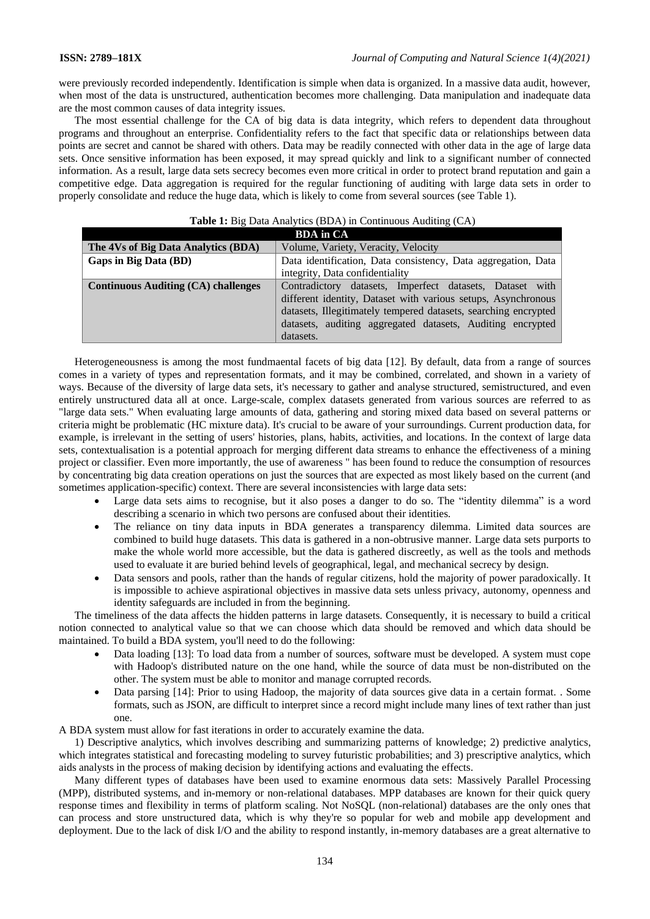were previously recorded independently. Identification is simple when data is organized. In a massive data audit, however, when most of the data is unstructured, authentication becomes more challenging. Data manipulation and inadequate data are the most common causes of data integrity issues.

The most essential challenge for the CA of big data is data integrity, which refers to dependent data throughout programs and throughout an enterprise. Confidentiality refers to the fact that specific data or relationships between data points are secret and cannot be shared with others. Data may be readily connected with other data in the age of large data sets. Once sensitive information has been exposed, it may spread quickly and link to a significant number of connected information. As a result, large data sets secrecy becomes even more critical in order to protect brand reputation and gain a competitive edge. Data aggregation is required for the regular functioning of auditing with large data sets in order to properly consolidate and reduce the huge data, which is likely to come from several sources (see Table 1).

| <b>BDA</b> in CA                           |                                                                 |  |  |  |
|--------------------------------------------|-----------------------------------------------------------------|--|--|--|
| The 4Vs of Big Data Analytics (BDA)        | Volume, Variety, Veracity, Velocity                             |  |  |  |
| Gaps in Big Data (BD)                      | Data identification, Data consistency, Data aggregation, Data   |  |  |  |
|                                            | integrity, Data confidentiality                                 |  |  |  |
| <b>Continuous Auditing (CA) challenges</b> | Contradictory datasets, Imperfect datasets, Dataset with        |  |  |  |
|                                            | different identity, Dataset with various setups, Asynchronous   |  |  |  |
|                                            | datasets, Illegitimately tempered datasets, searching encrypted |  |  |  |
|                                            | datasets, auditing aggregated datasets, Auditing encrypted      |  |  |  |
|                                            | datasets.                                                       |  |  |  |

# **Table 1:** Big Data Analytics (BDA) in Continuous Auditing (CA)

Heterogeneousness is among the most fundmaental facets of big data [12]. By default, data from a range of sources comes in a variety of types and representation formats, and it may be combined, correlated, and shown in a variety of ways. Because of the diversity of large data sets, it's necessary to gather and analyse structured, semistructured, and even entirely unstructured data all at once. Large-scale, complex datasets generated from various sources are referred to as "large data sets." When evaluating large amounts of data, gathering and storing mixed data based on several patterns or criteria might be problematic (HC mixture data). It's crucial to be aware of your surroundings. Current production data, for example, is irrelevant in the setting of users' histories, plans, habits, activities, and locations. In the context of large data sets, contextualisation is a potential approach for merging different data streams to enhance the effectiveness of a mining project or classifier. Even more importantly, the use of awareness " has been found to reduce the consumption of resources by concentrating big data creation operations on just the sources that are expected as most likely based on the current (and sometimes application-specific) context. There are several inconsistencies with large data sets:

- Large data sets aims to recognise, but it also poses a danger to do so. The "identity dilemma" is a word describing a scenario in which two persons are confused about their identities.
- The reliance on tiny data inputs in BDA generates a transparency dilemma. Limited data sources are combined to build huge datasets. This data is gathered in a non-obtrusive manner. Large data sets purports to make the whole world more accessible, but the data is gathered discreetly, as well as the tools and methods used to evaluate it are buried behind levels of geographical, legal, and mechanical secrecy by design.
- Data sensors and pools, rather than the hands of regular citizens, hold the majority of power paradoxically. It is impossible to achieve aspirational objectives in massive data sets unless privacy, autonomy, openness and identity safeguards are included in from the beginning.

The timeliness of the data affects the hidden patterns in large datasets. Consequently, it is necessary to build a critical notion connected to analytical value so that we can choose which data should be removed and which data should be maintained. To build a BDA system, you'll need to do the following:

- Data loading [13]: To load data from a number of sources, software must be developed. A system must cope with Hadoop's distributed nature on the one hand, while the source of data must be non-distributed on the other. The system must be able to monitor and manage corrupted records.
- Data parsing [14]: Prior to using Hadoop, the majority of data sources give data in a certain format. . Some formats, such as JSON, are difficult to interpret since a record might include many lines of text rather than just one.

A BDA system must allow for fast iterations in order to accurately examine the data.

1) Descriptive analytics, which involves describing and summarizing patterns of knowledge; 2) predictive analytics, which integrates statistical and forecasting modeling to survey futuristic probabilities; and 3) prescriptive analytics, which aids analysts in the process of making decision by identifying actions and evaluating the effects.

Many different types of databases have been used to examine enormous data sets: Massively Parallel Processing (MPP), distributed systems, and in-memory or non-relational databases. MPP databases are known for their quick query response times and flexibility in terms of platform scaling. Not NoSQL (non-relational) databases are the only ones that can process and store unstructured data, which is why they're so popular for web and mobile app development and deployment. Due to the lack of disk I/O and the ability to respond instantly, in-memory databases are a great alternative to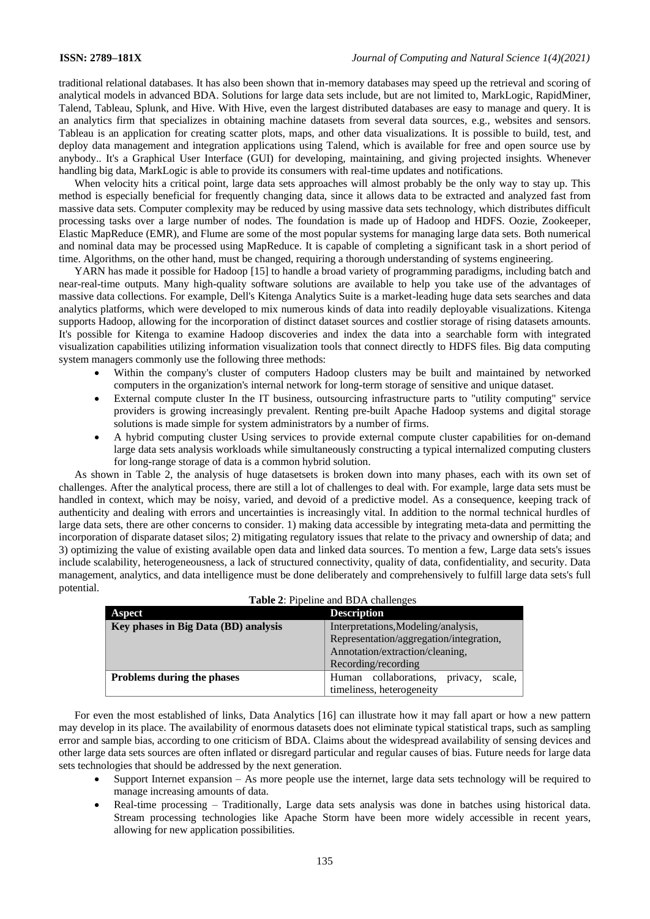traditional relational databases. It has also been shown that in-memory databases may speed up the retrieval and scoring of analytical models in advanced BDA. Solutions for large data sets include, but are not limited to, MarkLogic, RapidMiner, Talend, Tableau, Splunk, and Hive. With Hive, even the largest distributed databases are easy to manage and query. It is an analytics firm that specializes in obtaining machine datasets from several data sources, e.g., websites and sensors. Tableau is an application for creating scatter plots, maps, and other data visualizations. It is possible to build, test, and deploy data management and integration applications using Talend, which is available for free and open source use by anybody.. It's a Graphical User Interface (GUI) for developing, maintaining, and giving projected insights. Whenever handling big data, MarkLogic is able to provide its consumers with real-time updates and notifications.

When velocity hits a critical point, large data sets approaches will almost probably be the only way to stay up. This method is especially beneficial for frequently changing data, since it allows data to be extracted and analyzed fast from massive data sets. Computer complexity may be reduced by using massive data sets technology, which distributes difficult processing tasks over a large number of nodes. The foundation is made up of Hadoop and HDFS. Oozie, Zookeeper, Elastic MapReduce (EMR), and Flume are some of the most popular systems for managing large data sets. Both numerical and nominal data may be processed using MapReduce. It is capable of completing a significant task in a short period of time. Algorithms, on the other hand, must be changed, requiring a thorough understanding of systems engineering.

YARN has made it possible for Hadoop [15] to handle a broad variety of programming paradigms, including batch and near-real-time outputs. Many high-quality software solutions are available to help you take use of the advantages of massive data collections. For example, Dell's Kitenga Analytics Suite is a market-leading huge data sets searches and data analytics platforms, which were developed to mix numerous kinds of data into readily deployable visualizations. Kitenga supports Hadoop, allowing for the incorporation of distinct dataset sources and costlier storage of rising datasets amounts. It's possible for Kitenga to examine Hadoop discoveries and index the data into a searchable form with integrated visualization capabilities utilizing information visualization tools that connect directly to HDFS files. Big data computing system managers commonly use the following three methods:

- Within the company's cluster of computers Hadoop clusters may be built and maintained by networked computers in the organization's internal network for long-term storage of sensitive and unique dataset.
- External compute cluster In the IT business, outsourcing infrastructure parts to "utility computing" service providers is growing increasingly prevalent. Renting pre-built Apache Hadoop systems and digital storage solutions is made simple for system administrators by a number of firms.
- A hybrid computing cluster Using services to provide external compute cluster capabilities for on-demand large data sets analysis workloads while simultaneously constructing a typical internalized computing clusters for long-range storage of data is a common hybrid solution.

As shown in Table 2, the analysis of huge datasetsets is broken down into many phases, each with its own set of challenges. After the analytical process, there are still a lot of challenges to deal with. For example, large data sets must be handled in context, which may be noisy, varied, and devoid of a predictive model. As a consequence, keeping track of authenticity and dealing with errors and uncertainties is increasingly vital. In addition to the normal technical hurdles of large data sets, there are other concerns to consider. 1) making data accessible by integrating meta-data and permitting the incorporation of disparate dataset silos; 2) mitigating regulatory issues that relate to the privacy and ownership of data; and 3) optimizing the value of existing available open data and linked data sources. To mention a few, Large data sets's issues include scalability, heterogeneousness, a lack of structured connectivity, quality of data, confidentiality, and security. Data management, analytics, and data intelligence must be done deliberately and comprehensively to fulfill large data sets's full potential.

| <b>Aspect</b>                        | <b>Description</b>                          |  |  |  |  |  |
|--------------------------------------|---------------------------------------------|--|--|--|--|--|
| Key phases in Big Data (BD) analysis | Interpretations, Modeling/analysis,         |  |  |  |  |  |
|                                      | Representation/aggregation/integration,     |  |  |  |  |  |
|                                      | Annotation/extraction/cleaning,             |  |  |  |  |  |
|                                      | Recording/recording                         |  |  |  |  |  |
| Problems during the phases           | collaborations, privacy,<br>scale,<br>Human |  |  |  |  |  |
|                                      | timeliness, heterogeneity                   |  |  |  |  |  |

**Table 2**: Pipeline and BDA challenges

For even the most established of links, Data Analytics [16] can illustrate how it may fall apart or how a new pattern may develop in its place. The availability of enormous datasets does not eliminate typical statistical traps, such as sampling error and sample bias, according to one criticism of BDA. Claims about the widespread availability of sensing devices and other large data sets sources are often inflated or disregard particular and regular causes of bias. Future needs for large data sets technologies that should be addressed by the next generation.

- Support Internet expansion As more people use the internet, large data sets technology will be required to manage increasing amounts of data.
- Real-time processing Traditionally, Large data sets analysis was done in batches using historical data. Stream processing technologies like Apache Storm have been more widely accessible in recent years, allowing for new application possibilities.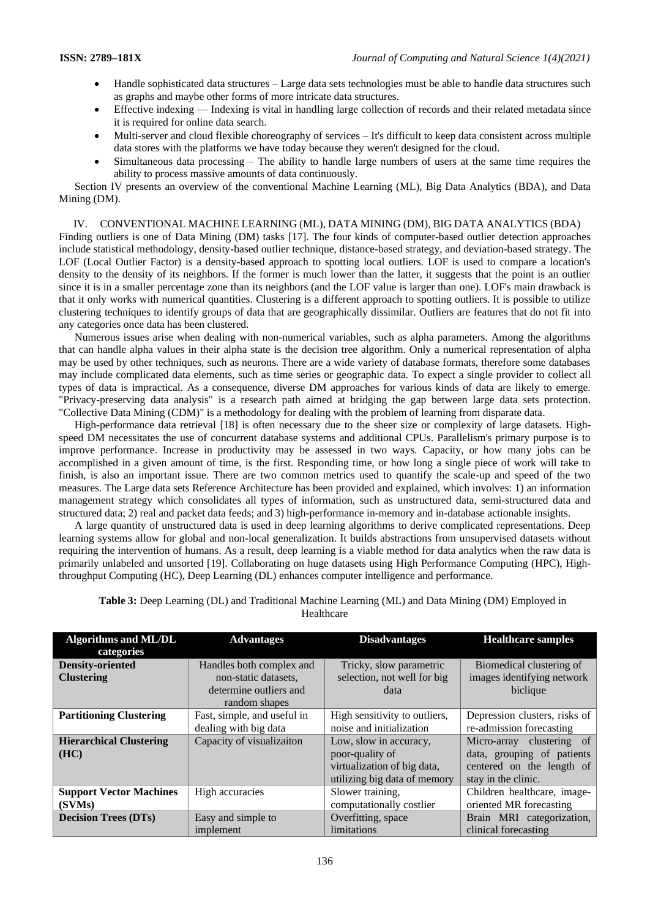- Handle sophisticated data structures Large data sets technologies must be able to handle data structures such as graphs and maybe other forms of more intricate data structures.
- Effective indexing Indexing is vital in handling large collection of records and their related metadata since it is required for online data search.
- Multi-server and cloud flexible choreography of services It's difficult to keep data consistent across multiple data stores with the platforms we have today because they weren't designed for the cloud.
- Simultaneous data processing The ability to handle large numbers of users at the same time requires the ability to process massive amounts of data continuously.

Section IV presents an overview of the conventional Machine Learning (ML), Big Data Analytics (BDA), and Data Mining (DM).

### IV. CONVENTIONAL MACHINE LEARNING (ML), DATA MINING (DM), BIG DATA ANALYTICS (BDA)

Finding outliers is one of Data Mining (DM) tasks [17]. The four kinds of computer-based outlier detection approaches include statistical methodology, density-based outlier technique, distance-based strategy, and deviation-based strategy. The LOF (Local Outlier Factor) is a density-based approach to spotting local outliers. LOF is used to compare a location's density to the density of its neighbors. If the former is much lower than the latter, it suggests that the point is an outlier since it is in a smaller percentage zone than its neighbors (and the LOF value is larger than one). LOF's main drawback is that it only works with numerical quantities. Clustering is a different approach to spotting outliers. It is possible to utilize clustering techniques to identify groups of data that are geographically dissimilar. Outliers are features that do not fit into any categories once data has been clustered.

Numerous issues arise when dealing with non-numerical variables, such as alpha parameters. Among the algorithms that can handle alpha values in their alpha state is the decision tree algorithm. Only a numerical representation of alpha may be used by other techniques, such as neurons. There are a wide variety of database formats, therefore some databases may include complicated data elements, such as time series or geographic data. To expect a single provider to collect all types of data is impractical. As a consequence, diverse DM approaches for various kinds of data are likely to emerge. "Privacy-preserving data analysis" is a research path aimed at bridging the gap between large data sets protection. "Collective Data Mining (CDM)" is a methodology for dealing with the problem of learning from disparate data.

High-performance data retrieval [18] is often necessary due to the sheer size or complexity of large datasets. Highspeed DM necessitates the use of concurrent database systems and additional CPUs. Parallelism's primary purpose is to improve performance. Increase in productivity may be assessed in two ways. Capacity, or how many jobs can be accomplished in a given amount of time, is the first. Responding time, or how long a single piece of work will take to finish, is also an important issue. There are two common metrics used to quantify the scale-up and speed of the two measures. The Large data sets Reference Architecture has been provided and explained, which involves: 1) an information management strategy which consolidates all types of information, such as unstructured data, semi-structured data and structured data; 2) real and packet data feeds; and 3) high-performance in-memory and in-database actionable insights.

A large quantity of unstructured data is used in deep learning algorithms to derive complicated representations. Deep learning systems allow for global and non-local generalization. It builds abstractions from unsupervised datasets without requiring the intervention of humans. As a result, deep learning is a viable method for data analytics when the raw data is primarily unlabeled and unsorted [19]. Collaborating on huge datasets using High Performance Computing (HPC), Highthroughput Computing (HC), Deep Learning (DL) enhances computer intelligence and performance.

| <b>Algorithms and ML/DL</b>    | <b>Advantages</b>           | <b>Disadvantages</b>          | <b>Healthcare samples</b>     |
|--------------------------------|-----------------------------|-------------------------------|-------------------------------|
| categories                     |                             |                               |                               |
| <b>Density-oriented</b>        | Handles both complex and    | Tricky, slow parametric       | Biomedical clustering of      |
| <b>Clustering</b>              | non-static datasets,        | selection, not well for big   | images identifying network    |
|                                | determine outliers and      | data                          | biclique                      |
|                                | random shapes               |                               |                               |
| <b>Partitioning Clustering</b> | Fast, simple, and useful in | High sensitivity to outliers, | Depression clusters, risks of |
|                                | dealing with big data       | noise and initialization      | re-admission forecasting      |
| <b>Hierarchical Clustering</b> | Capacity of visualizaiton   | Low, slow in accuracy,        | Micro-array clustering of     |
| (HC)                           |                             | poor-quality of               | data, grouping of patients    |
|                                |                             | virtualization of big data,   | centered on the length of     |
|                                |                             | utilizing big data of memory  | stay in the clinic.           |
| <b>Support Vector Machines</b> | High accuracies             | Slower training,              | Children healthcare, image-   |
| (SVMs)                         |                             | computationally costlier      | oriented MR forecasting       |
| <b>Decision Trees (DTs)</b>    | Easy and simple to          | Overfitting, space            | Brain MRI categorization,     |
|                                | implement                   | limitations                   | clinical forecasting          |

**Table 3:** Deep Learning (DL) and Traditional Machine Learning (ML) and Data Mining (DM) Employed in Healthcare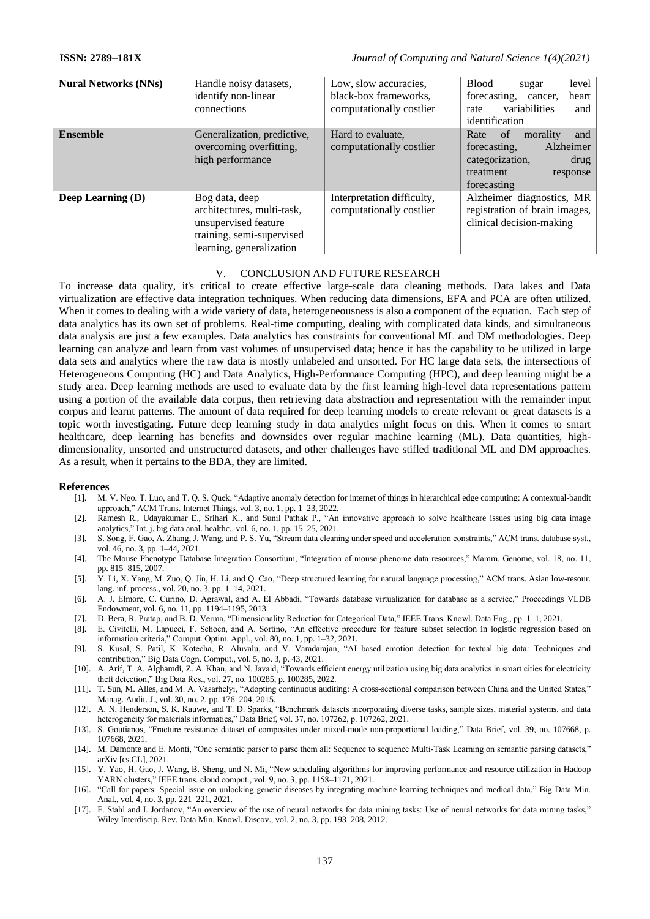| <b>Nural Networks (NNs)</b> | Handle noisy datasets,<br>identify non-linear<br>connections                                                                  | Low, slow accuracies,<br>black-box frameworks.<br>computationally costlier | <b>Blood</b><br>level<br>sugar<br>forecasting,<br>heart<br>cancer,<br>variabilities<br>and<br>rate<br>identification          |
|-----------------------------|-------------------------------------------------------------------------------------------------------------------------------|----------------------------------------------------------------------------|-------------------------------------------------------------------------------------------------------------------------------|
| <b>Ensemble</b>             | Generalization, predictive,<br>overcoming overfitting,<br>high performance                                                    | Hard to evaluate.<br>computationally costlier                              | Rate<br>of<br>and<br>morality<br>Alzheimer<br>forecasting.<br>categorization,<br>drug<br>treatment<br>response<br>forecasting |
| <b>Deep Learning (D)</b>    | Bog data, deep<br>architectures, multi-task,<br>unsupervised feature<br>training, semi-supervised<br>learning, generalization | Interpretation difficulty,<br>computationally costlier                     | Alzheimer diagnostics, MR<br>registration of brain images,<br>clinical decision-making                                        |

# V. CONCLUSION AND FUTURE RESEARCH

To increase data quality, it's critical to create effective large-scale data cleaning methods. Data lakes and Data virtualization are effective data integration techniques. When reducing data dimensions, EFA and PCA are often utilized. When it comes to dealing with a wide variety of data, heterogeneousness is also a component of the equation. Each step of data analytics has its own set of problems. Real-time computing, dealing with complicated data kinds, and simultaneous data analysis are just a few examples. Data analytics has constraints for conventional ML and DM methodologies. Deep learning can analyze and learn from vast volumes of unsupervised data; hence it has the capability to be utilized in large data sets and analytics where the raw data is mostly unlabeled and unsorted. For HC large data sets, the intersections of Heterogeneous Computing (HC) and Data Analytics, High-Performance Computing (HPC), and deep learning might be a study area. Deep learning methods are used to evaluate data by the first learning high-level data representations pattern using a portion of the available data corpus, then retrieving data abstraction and representation with the remainder input corpus and learnt patterns. The amount of data required for deep learning models to create relevant or great datasets is a topic worth investigating. Future deep learning study in data analytics might focus on this. When it comes to smart healthcare, deep learning has benefits and downsides over regular machine learning (ML). Data quantities, highdimensionality, unsorted and unstructured datasets, and other challenges have stifled traditional ML and DM approaches. As a result, when it pertains to the BDA, they are limited.

### **References**

- [1]. M. V. Ngo, T. Luo, and T. Q. S. Quek, "Adaptive anomaly detection for internet of things in hierarchical edge computing: A contextual-bandit approach," ACM Trans. Internet Things, vol. 3, no. 1, pp. 1–23, 2022.
- [2]. Ramesh R., Udayakumar E., Srihari K., and Sunil Pathak P., "An innovative approach to solve healthcare issues using big data image analytics," Int. j. big data anal. healthc., vol. 6, no. 1, pp. 15–25, 2021.
- [3]. S. Song, F. Gao, A. Zhang, J. Wang, and P. S. Yu, "Stream data cleaning under speed and acceleration constraints," ACM trans. database syst., vol. 46, no. 3, pp. 1–44, 2021.
- [4]. The Mouse Phenotype Database Integration Consortium, "Integration of mouse phenome data resources," Mamm. Genome, vol. 18, no. 11, pp. 815–815, 2007.
- [5]. Y. Li, X. Yang, M. Zuo, Q. Jin, H. Li, and Q. Cao, "Deep structured learning for natural language processing," ACM trans. Asian low-resour. lang. inf. process., vol. 20, no. 3, pp. 1–14, 2021.
- [6]. A. J. Elmore, C. Curino, D. Agrawal, and A. El Abbadi, "Towards database virtualization for database as a service," Proceedings VLDB Endowment, vol. 6, no. 11, pp. 1194–1195, 2013.
- [7]. D. Bera, R. Pratap, and B. D. Verma, "Dimensionality Reduction for Categorical Data," IEEE Trans. Knowl. Data Eng., pp. 1–1, 2021.
- [8]. E. Civitelli, M. Lapucci, F. Schoen, and A. Sortino, "An effective procedure for feature subset selection in logistic regression based on information criteria," Comput. Optim. Appl., vol. 80, no. 1, pp. 1–32, 2021.
- [9]. S. Kusal, S. Patil, K. Kotecha, R. Aluvalu, and V. Varadarajan, "AI based emotion detection for textual big data: Techniques and contribution," Big Data Cogn. Comput., vol. 5, no. 3, p. 43, 2021.
- [10]. A. Arif, T. A. Alghamdi, Z. A. Khan, and N. Javaid, "Towards efficient energy utilization using big data analytics in smart cities for electricity theft detection," Big Data Res., vol. 27, no. 100285, p. 100285, 2022.
- [11]. T. Sun, M. Alles, and M. A. Vasarhelyi, "Adopting continuous auditing: A cross-sectional comparison between China and the United States," Manag. Audit. J., vol. 30, no. 2, pp. 176–204, 2015.
- [12]. A. N. Henderson, S. K. Kauwe, and T. D. Sparks, "Benchmark datasets incorporating diverse tasks, sample sizes, material systems, and data heterogeneity for materials informatics," Data Brief, vol. 37, no. 107262, p. 107262, 2021.
- [13]. S. Goutianos, "Fracture resistance dataset of composites under mixed-mode non-proportional loading," Data Brief, vol. 39, no. 107668, p. 107668, 2021.
- [14]. M. Damonte and E. Monti, "One semantic parser to parse them all: Sequence to sequence Multi-Task Learning on semantic parsing datasets," arXiv [cs.CL], 2021.
- [15]. Y. Yao, H. Gao, J. Wang, B. Sheng, and N. Mi, "New scheduling algorithms for improving performance and resource utilization in Hadoop YARN clusters," IEEE trans. cloud comput., vol. 9, no. 3, pp. 1158–1171, 2021.
- [16]. "Call for papers: Special issue on unlocking genetic diseases by integrating machine learning techniques and medical data," Big Data Min. Anal., vol. 4, no. 3, pp. 221–221, 2021.
- [17]. F. Stahl and I. Jordanov, "An overview of the use of neural networks for data mining tasks: Use of neural networks for data mining tasks," Wiley Interdiscip. Rev. Data Min. Knowl. Discov., vol. 2, no. 3, pp. 193–208, 2012.